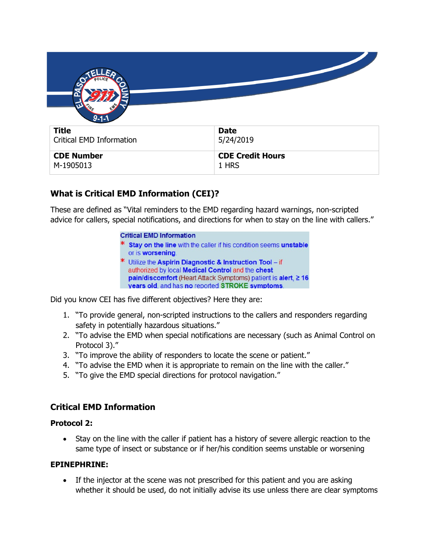| $9 - 1 - 1$                     |                         |
|---------------------------------|-------------------------|
| <b>Title</b>                    | <b>Date</b>             |
| <b>Critical EMD Information</b> | 5/24/2019               |
| <b>CDE Number</b>               | <b>CDE Credit Hours</b> |
| M-1905013                       | 1 HRS                   |

# **What is Critical EMD Information (CEI)?**

These are defined as "Vital reminders to the EMD regarding hazard warnings, non-scripted advice for callers, special notifications, and directions for when to stay on the line with callers."

#### **Critical EMD Information**

- Stay on the line with the caller if his condition seems unstable or is worsening.
- \* Utilize the Aspirin Diagnostic & Instruction Tool if authorized by local Medical Control and the chest pain/discomfort (Heart Attack Symptoms) patient is alert, ≥ 16 vears old, and has no reported STROKE symptoms.

Did you know CEI has five different objectives? Here they are:

- 1. "To provide general, non-scripted instructions to the callers and responders regarding safety in potentially hazardous situations."
- 2. "To advise the EMD when special notifications are necessary (such as Animal Control on Protocol 3)."
- 3. "To improve the ability of responders to locate the scene or patient."
- 4. "To advise the EMD when it is appropriate to remain on the line with the caller."
- 5. "To give the EMD special directions for protocol navigation."

## **Critical EMD Information**

#### **Protocol 2:**

• Stay on the line with the caller if patient has a history of severe allergic reaction to the same type of insect or substance or if her/his condition seems unstable or worsening

#### **EPINEPHRINE:**

• If the injector at the scene was not prescribed for this patient and you are asking whether it should be used, do not initially advise its use unless there are clear symptoms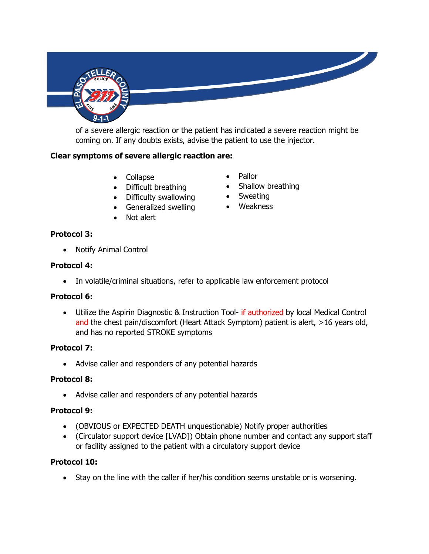

of a severe allergic reaction or the patient has indicated a severe reaction might be coming on. If any doubts exists, advise the patient to use the injector.

#### **Clear symptoms of severe allergic reaction are:**

- Collapse
- Difficult breathing
- Difficulty swallowing
- Generalized swelling
- Not alert
- Pallor
- Shallow breathing
- Sweating
- Weakness

#### **Protocol 3:**

• Notify Animal Control

#### **Protocol 4:**

• In volatile/criminal situations, refer to applicable law enforcement protocol

#### **Protocol 6:**

• Utilize the Aspirin Diagnostic & Instruction Tool- if authorized by local Medical Control and the chest pain/discomfort (Heart Attack Symptom) patient is alert, >16 years old, and has no reported STROKE symptoms

#### **Protocol 7:**

• Advise caller and responders of any potential hazards

#### **Protocol 8:**

• Advise caller and responders of any potential hazards

#### **Protocol 9:**

- (OBVIOUS or EXPECTED DEATH unquestionable) Notify proper authorities
- (Circulator support device [LVAD]) Obtain phone number and contact any support staff or facility assigned to the patient with a circulatory support device

#### **Protocol 10:**

• Stay on the line with the caller if her/his condition seems unstable or is worsening.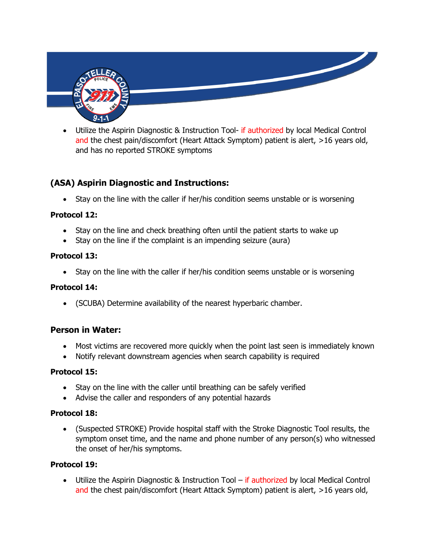

Utilize the Aspirin Diagnostic & Instruction Tool- if authorized by local Medical Control and the chest pain/discomfort (Heart Attack Symptom) patient is alert, >16 years old, and has no reported STROKE symptoms

# **(ASA) Aspirin Diagnostic and Instructions:**

• Stay on the line with the caller if her/his condition seems unstable or is worsening

## **Protocol 12:**

- Stay on the line and check breathing often until the patient starts to wake up
- Stay on the line if the complaint is an impending seizure (aura)

### **Protocol 13:**

• Stay on the line with the caller if her/his condition seems unstable or is worsening

## **Protocol 14:**

• (SCUBA) Determine availability of the nearest hyperbaric chamber.

## **Person in Water:**

- Most victims are recovered more quickly when the point last seen is immediately known
- Notify relevant downstream agencies when search capability is required

## **Protocol 15:**

- Stay on the line with the caller until breathing can be safely verified
- Advise the caller and responders of any potential hazards

## **Protocol 18:**

• (Suspected STROKE) Provide hospital staff with the Stroke Diagnostic Tool results, the symptom onset time, and the name and phone number of any person(s) who witnessed the onset of her/his symptoms.

## **Protocol 19:**

• Utilize the Aspirin Diagnostic & Instruction Tool – if authorized by local Medical Control and the chest pain/discomfort (Heart Attack Symptom) patient is alert, >16 years old,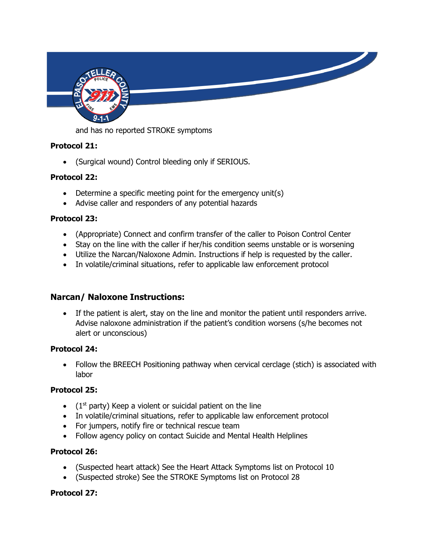

and has no reported STROKE symptoms

### **Protocol 21:**

• (Surgical wound) Control bleeding only if SERIOUS.

### **Protocol 22:**

- Determine a specific meeting point for the emergency unit(s)
- Advise caller and responders of any potential hazards

### **Protocol 23:**

- (Appropriate) Connect and confirm transfer of the caller to Poison Control Center
- Stay on the line with the caller if her/his condition seems unstable or is worsening
- Utilize the Narcan/Naloxone Admin. Instructions if help is requested by the caller.
- In volatile/criminal situations, refer to applicable law enforcement protocol

## **Narcan/ Naloxone Instructions:**

• If the patient is alert, stay on the line and monitor the patient until responders arrive. Advise naloxone administration if the patient's condition worsens (s/he becomes not alert or unconscious)

#### **Protocol 24:**

• Follow the BREECH Positioning pathway when cervical cerclage (stich) is associated with labor

## **Protocol 25:**

- $\bullet$  (1<sup>st</sup> party) Keep a violent or suicidal patient on the line
- In volatile/criminal situations, refer to applicable law enforcement protocol
- For jumpers, notify fire or technical rescue team
- Follow agency policy on contact Suicide and Mental Health Helplines

#### **Protocol 26:**

- (Suspected heart attack) See the Heart Attack Symptoms list on Protocol 10
- (Suspected stroke) See the STROKE Symptoms list on Protocol 28

## **Protocol 27:**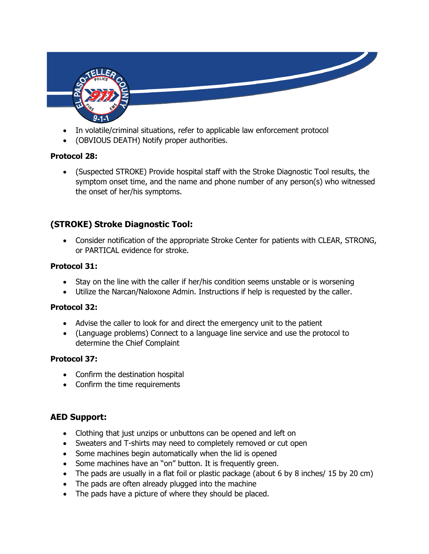

- In volatile/criminal situations, refer to applicable law enforcement protocol
- (OBVIOUS DEATH) Notify proper authorities.

### **Protocol 28:**

• (Suspected STROKE) Provide hospital staff with the Stroke Diagnostic Tool results, the symptom onset time, and the name and phone number of any person(s) who witnessed the onset of her/his symptoms.

# **(STROKE) Stroke Diagnostic Tool:**

• Consider notification of the appropriate Stroke Center for patients with CLEAR, STRONG, or PARTICAL evidence for stroke.

#### **Protocol 31:**

- Stay on the line with the caller if her/his condition seems unstable or is worsening
- Utilize the Narcan/Naloxone Admin. Instructions if help is requested by the caller.

#### **Protocol 32:**

- Advise the caller to look for and direct the emergency unit to the patient
- (Language problems) Connect to a language line service and use the protocol to determine the Chief Complaint

#### **Protocol 37:**

- Confirm the destination hospital
- Confirm the time requirements

## **AED Support:**

- Clothing that just unzips or unbuttons can be opened and left on
- Sweaters and T-shirts may need to completely removed or cut open
- Some machines begin automatically when the lid is opened
- Some machines have an "on" button. It is frequently green.
- The pads are usually in a flat foil or plastic package (about 6 by 8 inches/ 15 by 20 cm)
- The pads are often already plugged into the machine
- The pads have a picture of where they should be placed.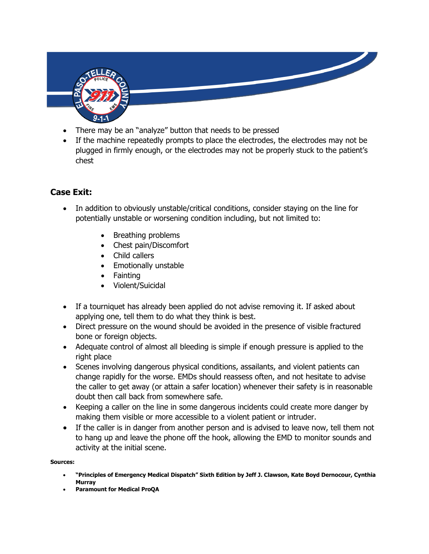

- There may be an "analyze" button that needs to be pressed
- If the machine repeatedly prompts to place the electrodes, the electrodes may not be plugged in firmly enough, or the electrodes may not be properly stuck to the patient's chest

# **Case Exit:**

- In addition to obviously unstable/critical conditions, consider staying on the line for potentially unstable or worsening condition including, but not limited to:
	- Breathing problems
	- Chest pain/Discomfort
	- Child callers
	- Emotionally unstable
	- Fainting
	- Violent/Suicidal
- If a tourniquet has already been applied do not advise removing it. If asked about applying one, tell them to do what they think is best.
- Direct pressure on the wound should be avoided in the presence of visible fractured bone or foreign objects.
- Adequate control of almost all bleeding is simple if enough pressure is applied to the right place
- Scenes involving dangerous physical conditions, assailants, and violent patients can change rapidly for the worse. EMDs should reassess often, and not hesitate to advise the caller to get away (or attain a safer location) whenever their safety is in reasonable doubt then call back from somewhere safe.
- Keeping a caller on the line in some dangerous incidents could create more danger by making them visible or more accessible to a violent patient or intruder.
- If the caller is in danger from another person and is advised to leave now, tell them not to hang up and leave the phone off the hook, allowing the EMD to monitor sounds and activity at the initial scene.

**Sources:** 

- **"Principles of Emergency Medical Dispatch" Sixth Edition by Jeff J. Clawson, Kate Boyd Dernocour, Cynthia Murray**
- **Paramount for Medical ProQA**